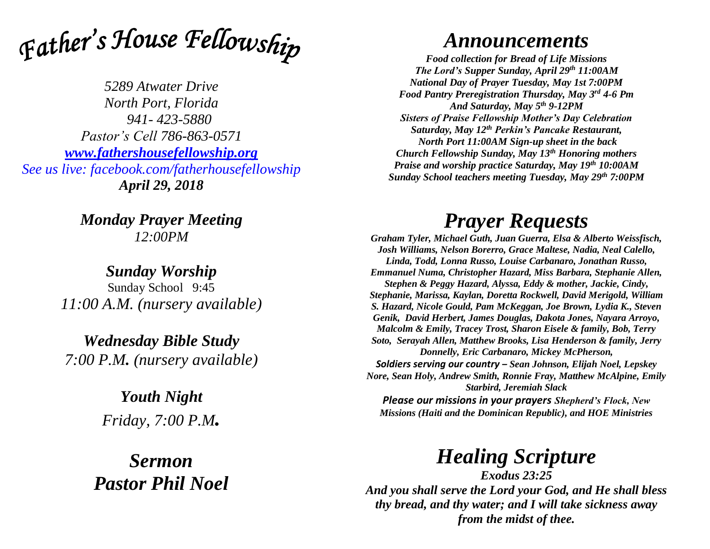

*5289 Atwater Drive North Port, Florida 941- 423-5880 Pastor's Cell 786-863-0571 [www.fathershousefellowship.org](http://www.fathershousefellowship.org/) See us live: facebook.com/fatherhousefellowship April 29, 2018*

> *Monday Prayer Meeting 12:00PM*

*Sunday Worship* Sunday School 9:45 *11:00 A.M. (nursery available)*

*Wednesday Bible Study 7:00 P.M. (nursery available)*

> *Youth Night Friday, 7:00 P.M.*

*Sermon Pastor Phil Noel*

## *Announcements*

*Food collection for Bread of Life Missions The Lord's Supper Sunday, April 29th 11:00AM National Day of Prayer Tuesday, May 1st 7:00PM Food Pantry Preregistration Thursday, May 3rd 4-6 Pm And Saturday, May 5th 9-12PM Sisters of Praise Fellowship Mother's Day Celebration Saturday, May 12th Perkin's Pancake Restaurant, North Port 11:00AM Sign-up sheet in the back Church Fellowship Sunday, May 13th Honoring mothers Praise and worship practice Saturday, May 19th 10:00AM Sunday School teachers meeting Tuesday, May 29th 7:00PM*

## *Prayer Requests*

*Graham Tyler, Michael Guth, Juan Guerra, Elsa & Alberto Weissfisch, Josh Williams, Nelson Borerro, Grace Maltese, Nadia, Neal Calello, Linda, Todd, Lonna Russo, Louise Carbanaro, Jonathan Russo, Emmanuel Numa, Christopher Hazard, Miss Barbara, Stephanie Allen, Stephen & Peggy Hazard, Alyssa, Eddy & mother, Jackie, Cindy, Stephanie, Marissa, Kaylan, Doretta Rockwell, David Merigold, William S. Hazard, Nicole Gould, Pam McKeggan, Joe Brown, Lydia K., Steven Genik, David Herbert, James Douglas, Dakota Jones, Nayara Arroyo, Malcolm & Emily, Tracey Trost, Sharon Eisele & family, Bob, Terry Soto, Serayah Allen, Matthew Brooks, Lisa Henderson & family, Jerry Donnelly, Eric Carbanaro, Mickey McPherson, Soldiers serving our country – Sean Johnson, Elijah Noel, Lepskey Nore, Sean Holy, Andrew Smith, Ronnie Fray, Matthew McAlpine, Emily Starbird, Jeremiah Slack Please our missions in your prayers Shepherd's Flock, New Missions (Haiti and the Dominican Republic), and HOE Ministries*

*Healing Scripture*

*Exodus 23:25 And you shall serve the Lord your God, and He shall bless thy bread, and thy water; and I will take sickness away from the midst of thee.*